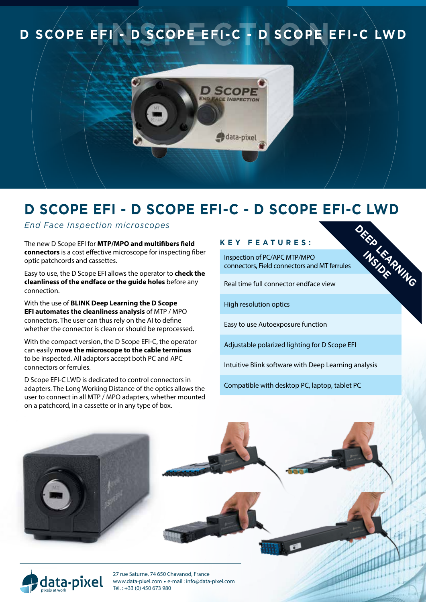# **D SCOPE EFI- D SCOPE EFI-C - D SCOPE EFI-C LWD**



## **D Scope EFI - D Scope EFI-C - D Scope EFI-C LWD**

*End Face Inspection microscopes*

The new D Scope EFI for **MTP/MPO and multifibers field connectors** is a cost effective microscope for inspecting fiber optic patchcords and cassettes.

Easy to use, the D Scope EFI allows the operator to **check the cleanliness of the endface or the guide holes** before any connection.

With the use of **BLINK Deep Learning the D Scope EFI automates the cleanliness analysis** of MTP / MPO connectors. The user can thus rely on the AI to define whether the connector is clean or should be reprocessed.

With the compact version, the D Scope EFI-C, the operator can easily **move the microscope to the cable terminus** to be inspected. All adaptors accept both PC and APC connectors or ferrules.

D Scope EFI-C LWD is dedicated to control connectors in adapters. The Long Working Distance of the optics allows the user to connect in all MTP / MPO adapters, whether mounted on a patchcord, in a cassette or in any type of box.

Tél. : +33 (0) 450 673 980

### **Key f eature s :**

Inspection of PC/APC MTP/MPO connectors, Field connectors and MT ferrules **DEEP LEARNING INSIDER** 

Real time full connector endface view

High resolution optics

Easy to use Autoexposure function

Adjustable polarized lighting for D Scope EFI

Intuitive Blink software with Deep Learning analysis

Compatible with desktop PC, laptop, tablet PC